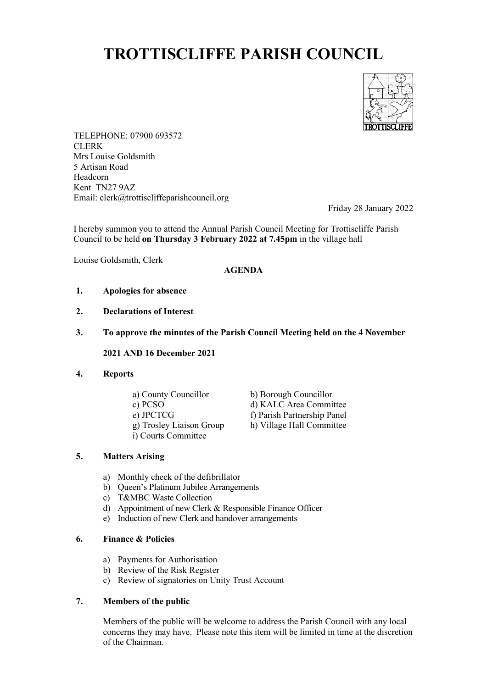# **TROTTISCLIFFE PARISH COUNCIL**



TELEPHONE: 07900 693572 CLERK Mrs Louise Goldsmith 5 Artisan Road Headcorn Kent TN27 9AZ Email: clerk@trottiscliffeparishcouncil.org

Friday 28 January 2022

I hereby summon you to attend the Annual Parish Council Meeting for Trottiscliffe Parish Council to be held **on Thursday 3 February 2022 at 7.45pm** in the village hall

Louise Goldsmith, Clerk

### **AGENDA**

- **1. Apologies for absence**
- **2. Declarations of Interest**
- **3. To approve the minutes of the Parish Council Meeting held on the 4 November**

**2021 AND 16 December 2021**

#### **4. Reports**

- 
- 
- 
- g) Trosley Liaison Group
- i) Courts Committee
- a) County Councillor b) Borough Councillor c) PCSO d) KALC Area Committee
- e) JPCTCG<br>
g) Trosley Liaison Group<br>
h) Village Hall Committee

# **5. Matters Arising**

- a) Monthly check of the defibrillator
- b) Queen's Platinum Jubilee Arrangements
- c) T&MBC Waste Collection
- d) Appointment of new Clerk & Responsible Finance Officer
- e) Induction of new Clerk and handover arrangements

#### **6. Finance & Policies**

- a) Payments for Authorisation
- b) Review of the Risk Register
- c) Review of signatories on Unity Trust Account

#### **7. Members of the public**

Members of the public will be welcome to address the Parish Council with any local concerns they may have. Please note this item will be limited in time at the discretion of the Chairman.